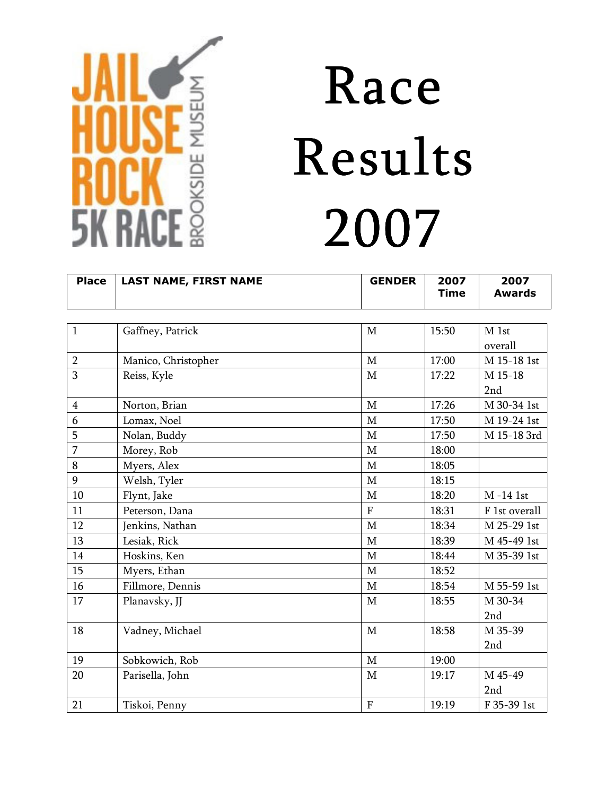

| <b>Place</b>   | <b>LAST NAME, FIRST NAME</b> | <b>GENDER</b>  | 2007<br><b>Time</b> | 2007<br><b>Awards</b> |
|----------------|------------------------------|----------------|---------------------|-----------------------|
|                |                              |                |                     |                       |
| $\mathbf{1}$   | Gaffney, Patrick             | $\mathbf{M}$   | 15:50               | M 1st                 |
|                |                              |                |                     | overall               |
| $\overline{2}$ | Manico, Christopher          | $\mathbf M$    | 17:00               | M 15-18 1st           |
| 3              | Reiss, Kyle                  | $\mathbf M$    | 17:22               | M 15-18               |
|                |                              |                |                     | 2nd                   |
| $\overline{4}$ | Norton, Brian                | $\mathbf M$    | 17:26               | M 30-34 1st           |
| 6              | Lomax, Noel                  | M              | 17:50               | M 19-24 1st           |
| 5              | Nolan, Buddy                 | $\mathbf M$    | 17:50               | M 15-18 3rd           |
| $\overline{7}$ | Morey, Rob                   | $\mathbf M$    | 18:00               |                       |
| $\bf 8$        | Myers, Alex                  | $\mathbf M$    | 18:05               |                       |
| 9              | Welsh, Tyler                 | $\mathbf M$    | 18:15               |                       |
| 10             | Flynt, Jake                  | $\mathbf M$    | 18:20               | M-14 1st              |
| 11             | Peterson, Dana               | $\overline{F}$ | 18:31               | F 1st overall         |
| 12             | Jenkins, Nathan              | $\mathbf M$    | 18:34               | M 25-29 1st           |
| 13             | Lesiak, Rick                 | $\mathbf M$    | 18:39               | M 45-49 1st           |
| 14             | Hoskins, Ken                 | $\mathbf M$    | 18:44               | M 35-39 1st           |
| 15             | Myers, Ethan                 | M              | 18:52               |                       |
| 16             | Fillmore, Dennis             | $\mathbf{M}$   | 18:54               | M 55-59 1st           |
| 17             | Planavsky, JJ                | $\mathbf{M}$   | 18:55               | M 30-34               |
|                |                              |                |                     | 2nd                   |
| 18             | Vadney, Michael              | $\mathbf M$    | 18:58               | M 35-39               |
|                |                              |                |                     | 2nd                   |
| 19             | Sobkowich, Rob               | $\mathbf M$    | 19:00               |                       |
| 20             | Parisella, John              | $\mathbf M$    | 19:17               | M 45-49               |
|                |                              |                |                     | 2nd                   |
| 21             | Tiskoi, Penny                | $\overline{F}$ | 19:19               | F 35-39 1st           |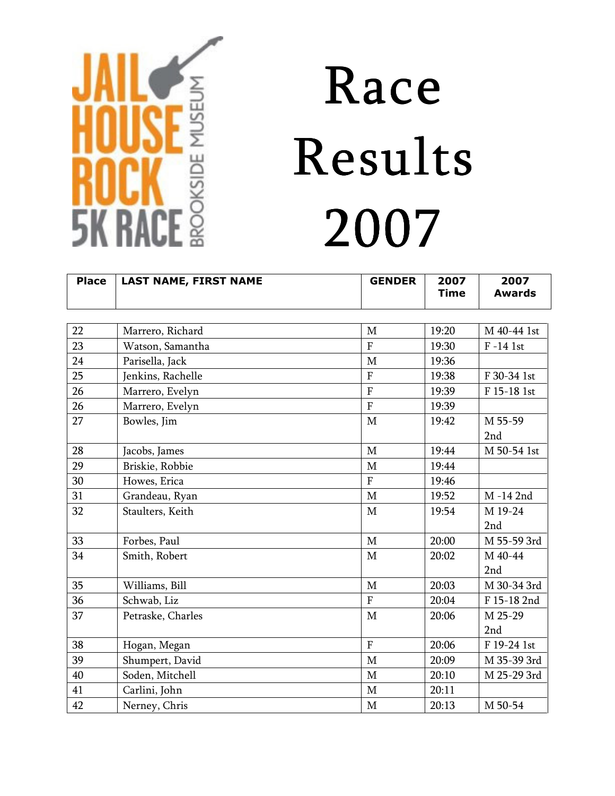

| <b>Place</b> | <b>LAST NAME, FIRST NAME</b> | <b>GENDER</b>  | 2007<br><b>Time</b> | 2007<br><b>Awards</b> |
|--------------|------------------------------|----------------|---------------------|-----------------------|
|              |                              |                |                     |                       |
| 22           | Marrero, Richard             | $\mathbf M$    | 19:20               | M 40-44 1st           |
| 23           | Watson, Samantha             | $\overline{F}$ | 19:30               | $F-14$ 1st            |
| 24           | Parisella, Jack              | $\mathbf M$    | 19:36               |                       |
| 25           | Jenkins, Rachelle            | $\overline{F}$ | 19:38               | F 30-34 1st           |
| 26           | Marrero, Evelyn              | $\overline{F}$ | 19:39               | F 15-18 1st           |
| 26           | Marrero, Evelyn              | $\overline{F}$ | 19:39               |                       |
| 27           | Bowles, Jim                  | $\mathbf M$    | 19:42               | M 55-59               |
|              |                              |                |                     | 2nd                   |
| 28           | Jacobs, James                | $\mathbf{M}$   | 19:44               | M 50-54 1st           |
| 29           | Briskie, Robbie              | M              | 19:44               |                       |
| 30           | Howes, Erica                 | $\overline{F}$ | 19:46               |                       |
| 31           | Grandeau, Ryan               | $\mathbf{M}$   | 19:52               | M-14 2nd              |
| 32           | Staulters, Keith             | $\mathbf M$    | 19:54               | M 19-24               |
|              |                              |                |                     | 2nd                   |
| 33           | Forbes, Paul                 | $\mathbf{M}$   | 20:00               | M 55-59 3rd           |
| 34           | Smith, Robert                | $\mathbf M$    | 20:02               | M 40-44               |
|              |                              |                |                     | 2nd                   |
| 35           | Williams, Bill               | $\mathbf{M}$   | 20:03               | M 30-34 3rd           |
| 36           | Schwab, Liz                  | $\overline{F}$ | 20:04               | F 15-18 2nd           |
| 37           | Petraske, Charles            | $\mathbf M$    | 20:06               | M 25-29               |
|              |                              |                |                     | 2nd                   |
| 38           | Hogan, Megan                 | $\overline{F}$ | 20:06               | F 19-24 1st           |
| 39           | Shumpert, David              | $\mathbf M$    | 20:09               | M 35-39 3rd           |
| 40           | Soden, Mitchell              | $\mathbf M$    | 20:10               | M 25-29 3rd           |
| 41           | Carlini, John                | $\mathbf M$    | 20:11               |                       |
| 42           | Nerney, Chris                | $\mathbf M$    | 20:13               | M 50-54               |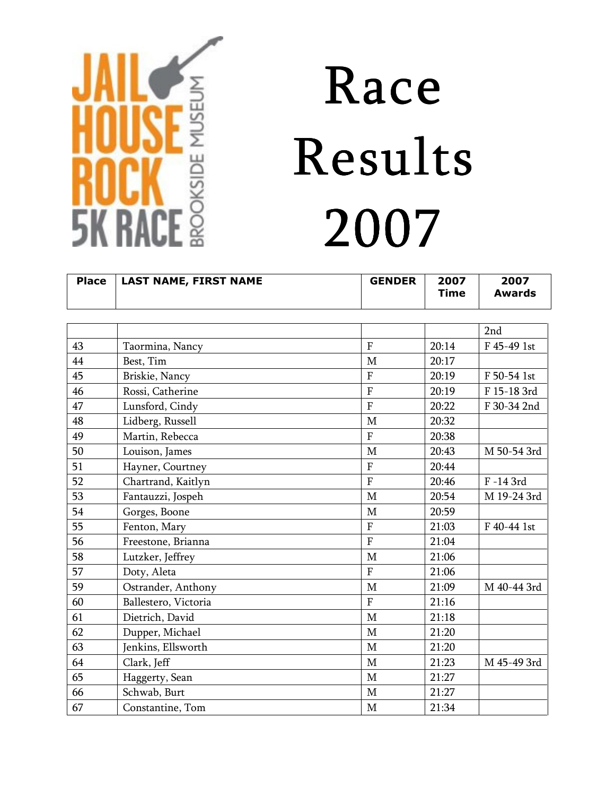

| <b>Place</b> | <b>LAST NAME, FIRST NAME</b> | <b>GENDER</b>  | 2007<br><b>Time</b> | 2007<br><b>Awards</b> |
|--------------|------------------------------|----------------|---------------------|-----------------------|
|              |                              |                |                     |                       |
|              |                              |                |                     | 2nd                   |
| 43           | Taormina, Nancy              | $\overline{F}$ | 20:14               | F 45-49 1st           |
| 44           | Best, Tim                    | $\mathbf M$    | 20:17               |                       |
| 45           | Briskie, Nancy               | $\overline{F}$ | 20:19               | F 50-54 1st           |
| 46           | Rossi, Catherine             | $\overline{F}$ | 20:19               | F 15-18 3rd           |
| 47           | Lunsford, Cindy              | $\overline{F}$ | 20:22               | F 30-34 2nd           |
| 48           | Lidberg, Russell             | M              | 20:32               |                       |
| 49           | Martin, Rebecca              | $\overline{F}$ | 20:38               |                       |
| 50           | Louison, James               | $\mathbf M$    | 20:43               | M 50-54 3rd           |
| 51           | Hayner, Courtney             | $\overline{F}$ | 20:44               |                       |
| 52           | Chartrand, Kaitlyn           | $\overline{F}$ | 20:46               | F-143rd               |
| 53           | Fantauzzi, Jospeh            | M              | 20:54               | M 19-24 3rd           |
| 54           | Gorges, Boone                | M              | 20:59               |                       |
| 55           | Fenton, Mary                 | $\overline{F}$ | 21:03               | F 40-44 1st           |
| 56           | Freestone, Brianna           | $\overline{F}$ | 21:04               |                       |
| 58           | Lutzker, Jeffrey             | M              | 21:06               |                       |
| 57           | Doty, Aleta                  | $\overline{F}$ | 21:06               |                       |
| 59           | Ostrander, Anthony           | $\mathbf M$    | 21:09               | M 40-44 3rd           |
| 60           | Ballestero, Victoria         | $\overline{F}$ | 21:16               |                       |
| 61           | Dietrich, David              | $\mathbf M$    | 21:18               |                       |
| 62           | Dupper, Michael              | M              | 21:20               |                       |
| 63           | Jenkins, Ellsworth           | $\mathbf M$    | 21:20               |                       |
| 64           | Clark, Jeff                  | $\mathbf M$    | 21:23               | M 45-49 3rd           |
| 65           | Haggerty, Sean               | M              | 21:27               |                       |
| 66           | Schwab, Burt                 | $\mathbf M$    | 21:27               |                       |
| 67           | Constantine, Tom             | $\mathbf M$    | 21:34               |                       |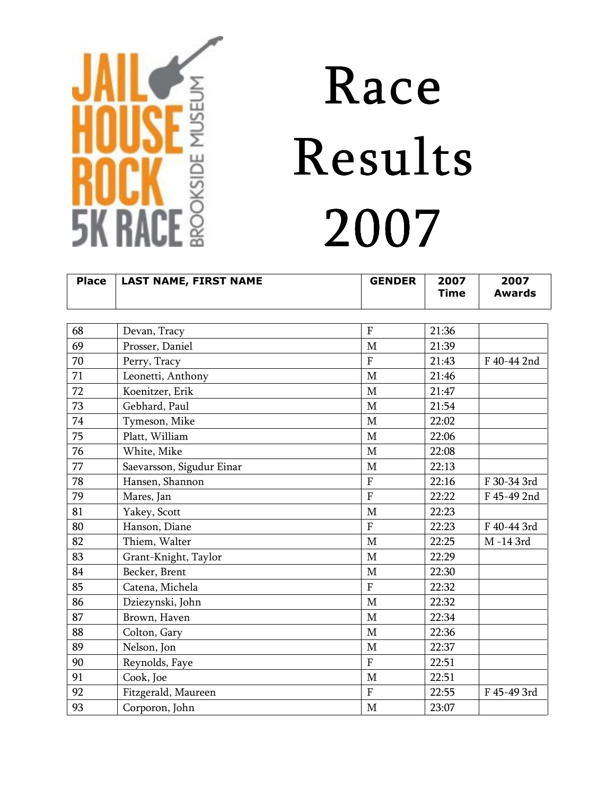

| <b>Place</b> | <b>LAST NAME, FIRST NAME</b> | <b>GENDER</b>  | 2007<br><b>Time</b> | 2007<br><b>Awards</b> |
|--------------|------------------------------|----------------|---------------------|-----------------------|
|              |                              |                |                     |                       |
| 68           | Devan, Tracy                 | $\rm F$        | 21:36               |                       |
| 69           | Prosser, Daniel              | M              | 21:39               |                       |
| 70           | Perry, Tracy                 | $\mathbf{F}$   | 21:43               | F 40-44 2nd           |
| 71           | Leonetti, Anthony            | $\mathbf{M}$   | 21:46               |                       |
| 72           | Koenitzer, Erik              | M              | 21:47               |                       |
| 73           | Gebhard, Paul                | $\mathbf M$    | 21:54               |                       |
| 74           | Tymeson, Mike                | $\mathbf{M}$   | 22:02               |                       |
| 75           | Platt, William               | $\mathbf M$    | 22:06               |                       |
| 76           | White, Mike                  | $\mathbf M$    | 22:08               |                       |
| 77           | Saevarsson, Sigudur Einar    | $\mathbf M$    | 22:13               |                       |
| 78           | Hansen, Shannon              | $\overline{F}$ | 22:16               | F 30-34 3rd           |
| 79           | Mares, Jan                   | $\overline{F}$ | 22:22               | F 45-49 2nd           |
| 81           | Yakey, Scott                 | $\mathbf M$    | 22:23               |                       |
| 80           | Hanson, Diane                | $\mathbf{F}$   | 22:23               | F 40-44 3rd           |
| 82           | Thiem, Walter                | M              | 22:25               | M-143rd               |
| 83           | Grant-Knight, Taylor         | $\mathbf M$    | 22:29               |                       |
| 84           | Becker, Brent                | $\mathbf{M}$   | 22:30               |                       |
| 85           | Catena, Michela              | $\mathbf{F}$   | 22:32               |                       |
| 86           | Dziezynski, John             | $\mathbf M$    | 22:32               |                       |
| 87           | Brown, Haven                 | M              | 22:34               |                       |
| 88           | Colton, Gary                 | $\mathbf M$    | 22:36               |                       |
| 89           | Nelson, Jon                  | $\mathbf M$    | 22:37               |                       |
| 90           | Reynolds, Faye               | $\overline{F}$ | 22:51               |                       |
| 91           | Cook, Joe                    | M              | 22:51               |                       |
| 92           | Fitzgerald, Maureen          | $\mathbf{F}$   | 22:55               | F 45-49 3rd           |
| 93           | Corporon, John               | $\mathbf M$    | 23:07               |                       |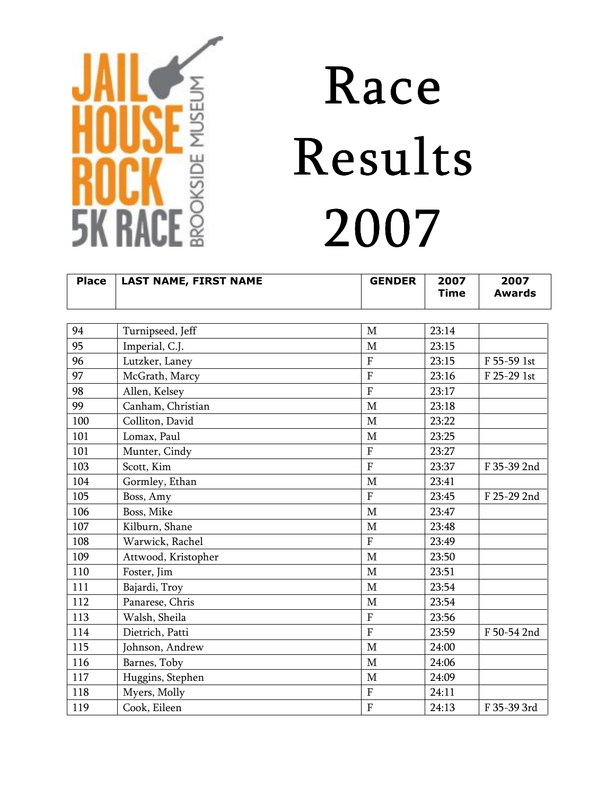

| <b>Place</b> | <b>LAST NAME, FIRST NAME</b> | <b>GENDER</b>           | 2007<br><b>Time</b> | 2007<br><b>Awards</b> |
|--------------|------------------------------|-------------------------|---------------------|-----------------------|
|              |                              |                         |                     |                       |
| 94           | Turnipseed, Jeff             | $\mathbf M$             | 23:14               |                       |
| 95           | Imperial, C.J.               | $\mathbf{M}$            | 23:15               |                       |
| 96           | Lutzker, Laney               | $\mathbf{F}$            | 23:15               | F 55-59 1st           |
| 97           | McGrath, Marcy               | $\mathbf F$             | 23:16               | F 25-29 1st           |
| 98           | Allen, Kelsey                | $\mathbf{F}$            | 23:17               |                       |
| 99           | Canham, Christian            | $\mathbf{M}$            | 23:18               |                       |
| 100          | Colliton, David              | M                       | 23:22               |                       |
| 101          | Lomax, Paul                  | $\mathbf{M}$            | 23:25               |                       |
| 101          | Munter, Cindy                | $\mathbf{F}$            | 23:27               |                       |
| 103          | Scott, Kim                   | $\overline{F}$          | 23:37               | F 35-39 2nd           |
| 104          | Gormley, Ethan               | $\mathbf M$             | 23:41               |                       |
| 105          | Boss, Amy                    | $\mathbf{F}$            | 23:45               | F 25-29 2nd           |
| 106          | Boss, Mike                   | M                       | 23:47               |                       |
| 107          | Kilburn, Shane               | $\mathbf M$             | 23:48               |                       |
| 108          | Warwick, Rachel              | $\overline{F}$          | 23:49               |                       |
| 109          | Attwood, Kristopher          | M                       | 23:50               |                       |
| 110          | Foster, Jim                  | M                       | 23:51               |                       |
| 111          | Bajardi, Troy                | M                       | 23:54               |                       |
| 112          | Panarese, Chris              | M                       | 23:54               |                       |
| 113          | Walsh, Sheila                | ${\bf F}$               | 23:56               |                       |
| 114          | Dietrich, Patti              | $\overline{F}$          | 23:59               | F 50-54 2nd           |
| 115          | Johnson, Andrew              | M                       | 24:00               |                       |
| 116          | Barnes, Toby                 | M                       | 24:06               |                       |
| 117          | Huggins, Stephen             | M                       | 24:09               |                       |
| 118          | Myers, Molly                 | F                       | 24:11               |                       |
| 119          | Cook, Eileen                 | $\overline{\mathrm{F}}$ | 24:13               | F 35-39 3rd           |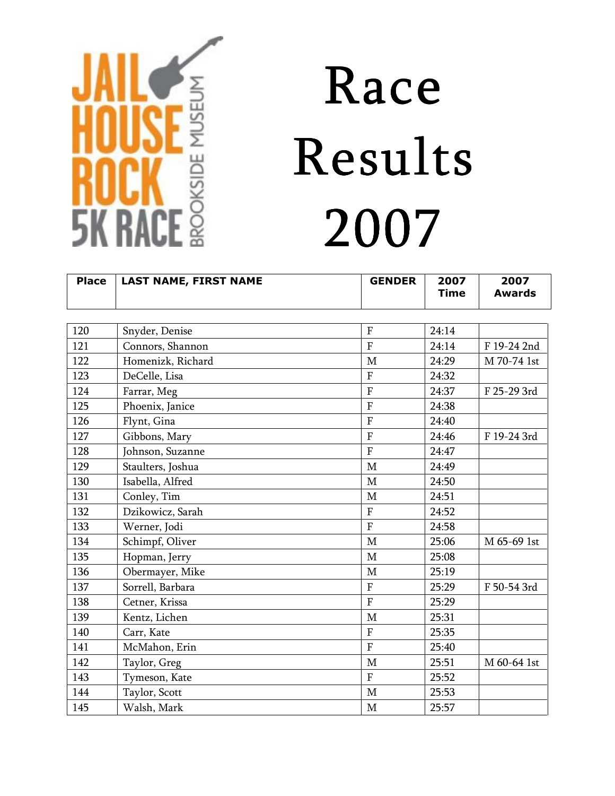

| <b>Place</b> | <b>LAST NAME, FIRST NAME</b> | <b>GENDER</b>  | 2007<br><b>Time</b> | 2007<br><b>Awards</b> |
|--------------|------------------------------|----------------|---------------------|-----------------------|
|              |                              |                |                     |                       |
| 120          | Snyder, Denise               | $\overline{F}$ | 24:14               |                       |
| 121          | Connors, Shannon             | $\overline{F}$ | 24:14               | F 19-24 2nd           |
| 122          | Homenizk, Richard            | $\mathbf M$    | 24:29               | M 70-74 1st           |
| 123          | DeCelle, Lisa                | $\overline{F}$ | 24:32               |                       |
| 124          | Farrar, Meg                  | $\mathbf F$    | 24:37               | F 25-29 3rd           |
| 125          | Phoenix, Janice              | $\overline{F}$ | 24:38               |                       |
| 126          | Flynt, Gina                  | $\overline{F}$ | 24:40               |                       |
| 127          | Gibbons, Mary                | $\overline{F}$ | 24:46               | F 19-24 3rd           |
| 128          | Johnson, Suzanne             | $\overline{F}$ | 24:47               |                       |
| 129          | Staulters, Joshua            | $\mathbf M$    | 24:49               |                       |
| 130          | Isabella, Alfred             | M              | 24:50               |                       |
| 131          | Conley, Tim                  | $\mathbf M$    | 24:51               |                       |
| 132          | Dzikowicz, Sarah             | $\overline{F}$ | 24:52               |                       |
| 133          | Werner, Jodi                 | $\overline{F}$ | 24:58               |                       |
| 134          | Schimpf, Oliver              | $\mathbf{M}$   | 25:06               | M 65-69 1st           |
| 135          | Hopman, Jerry                | $\mathbf M$    | 25:08               |                       |
| 136          | Obermayer, Mike              | M              | 25:19               |                       |
| 137          | Sorrell, Barbara             | $\mathbf{F}$   | 25:29               | F 50-54 3rd           |
| 138          | Cetner, Krissa               | $\overline{F}$ | 25:29               |                       |
| 139          | Kentz, Lichen                | $\mathbf M$    | 25:31               |                       |
| 140          | Carr, Kate                   | $\overline{F}$ | 25:35               |                       |
| 141          | McMahon, Erin                | $\overline{F}$ | 25:40               |                       |
| 142          | Taylor, Greg                 | $\mathbf M$    | 25:51               | M 60-64 1st           |
| 143          | Tymeson, Kate                | $\overline{F}$ | 25:52               |                       |
| 144          | Taylor, Scott                | $\mathbf M$    | 25:53               |                       |
| 145          | Walsh, Mark                  | $\mathbf M$    | 25:57               |                       |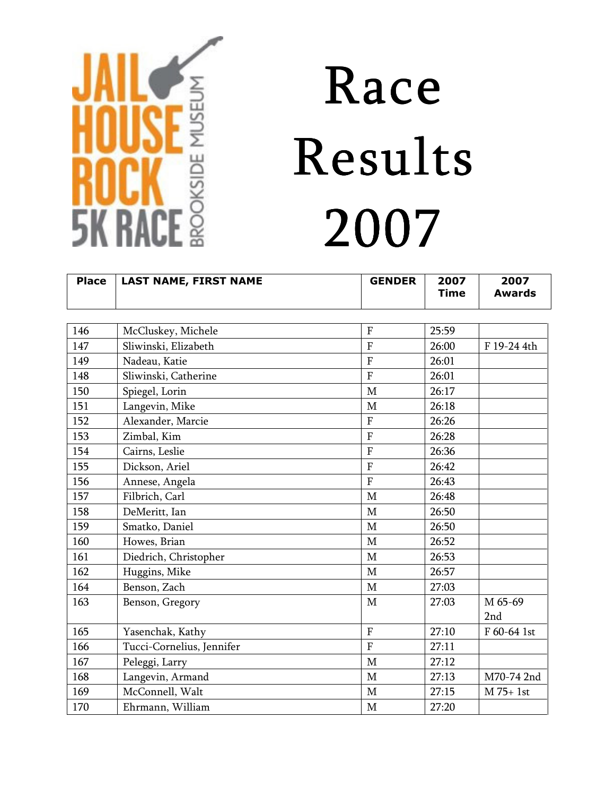

| <b>Place</b> | <b>LAST NAME, FIRST NAME</b> | <b>GENDER</b>  | 2007<br><b>Time</b> | 2007<br><b>Awards</b> |
|--------------|------------------------------|----------------|---------------------|-----------------------|
|              |                              |                |                     |                       |
| 146          | McCluskey, Michele           | $\overline{F}$ | 25:59               |                       |
| 147          | Sliwinski, Elizabeth         | $\overline{F}$ | 26:00               | F 19-24 4th           |
| 149          | Nadeau, Katie                | $\overline{F}$ | 26:01               |                       |
| 148          | Sliwinski, Catherine         | $\overline{F}$ | 26:01               |                       |
| 150          | Spiegel, Lorin               | M              | 26:17               |                       |
| 151          | Langevin, Mike               | $\mathbf{M}$   | 26:18               |                       |
| 152          | Alexander, Marcie            | $\mathbf{F}$   | 26:26               |                       |
| 153          | Zimbal, Kim                  | $\overline{F}$ | 26:28               |                       |
| 154          | Cairns, Leslie               | ${\bf F}$      | 26:36               |                       |
| 155          | Dickson, Ariel               | $\mathbf F$    | 26:42               |                       |
| 156          | Annese, Angela               | $\overline{F}$ | 26:43               |                       |
| 157          | Filbrich, Carl               | $\mathbf M$    | 26:48               |                       |
| 158          | DeMeritt, Ian                | M              | 26:50               |                       |
| 159          | Smatko, Daniel               | M              | 26:50               |                       |
| 160          | Howes, Brian                 | $\mathbf M$    | 26:52               |                       |
| 161          | Diedrich, Christopher        | M              | 26:53               |                       |
| 162          | Huggins, Mike                | M              | 26:57               |                       |
| 164          | Benson, Zach                 | M              | 27:03               |                       |
| 163          | Benson, Gregory              | M              | 27:03               | M 65-69               |
|              |                              |                |                     | 2nd                   |
| 165          | Yasenchak, Kathy             | $\mathbf{F}$   | 27:10               | F 60-64 1st           |
| 166          | Tucci-Cornelius, Jennifer    | $\overline{F}$ | 27:11               |                       |
| 167          | Peleggi, Larry               | $\mathbf M$    | 27:12               |                       |
| 168          | Langevin, Armand             | M              | 27:13               | M70-74 2nd            |
| 169          | McConnell, Walt              | M              | 27:15               | M 75+ 1st             |
| 170          | Ehrmann, William             | $\mathbf M$    | 27:20               |                       |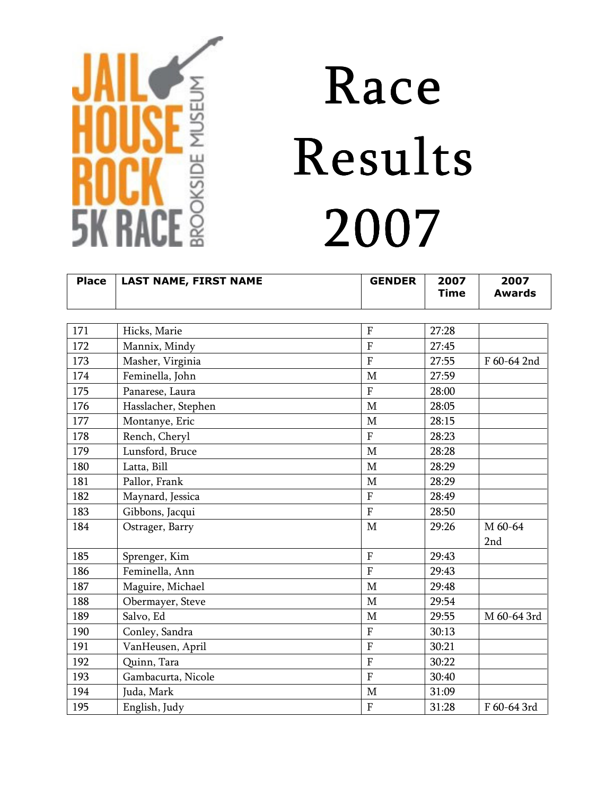

| <b>Place</b> | <b>LAST NAME, FIRST NAME</b> | <b>GENDER</b>  | 2007<br><b>Time</b> | 2007<br><b>Awards</b> |
|--------------|------------------------------|----------------|---------------------|-----------------------|
|              |                              |                |                     |                       |
| 171          | Hicks, Marie                 | $\rm F$        | 27:28               |                       |
| 172          | Mannix, Mindy                | $\overline{F}$ | 27:45               |                       |
| 173          | Masher, Virginia             | $\overline{F}$ | 27:55               | F 60-64 2nd           |
| 174          | Feminella, John              | M              | 27:59               |                       |
| 175          | Panarese, Laura              | $\mathbf{F}$   | 28:00               |                       |
| 176          | Hasslacher, Stephen          | M              | 28:05               |                       |
| 177          | Montanye, Eric               | $\mathbf{M}$   | 28:15               |                       |
| 178          | Rench, Cheryl                | $\overline{F}$ | 28:23               |                       |
| 179          | Lunsford, Bruce              | $\mathbf M$    | 28:28               |                       |
| 180          | Latta, Bill                  | M              | 28:29               |                       |
| 181          | Pallor, Frank                | M              | 28:29               |                       |
| 182          | Maynard, Jessica             | $\rm F$        | 28:49               |                       |
| 183          | Gibbons, Jacqui              | $\overline{F}$ | 28:50               |                       |
| 184          | Ostrager, Barry              | $\mathbf M$    | 29:26               | M 60-64<br>2nd        |
| 185          | Sprenger, Kim                | $\overline{F}$ | 29:43               |                       |
| 186          | Feminella, Ann               | $\overline{F}$ | 29:43               |                       |
| 187          | Maguire, Michael             | $\mathbf{M}$   | 29:48               |                       |
| 188          | Obermayer, Steve             | M              | 29:54               |                       |
| 189          | Salvo, Ed                    | $\mathbf{M}$   | 29:55               | M 60-64 3rd           |
| 190          | Conley, Sandra               | $\mathbf F$    | 30:13               |                       |
| 191          | VanHeusen, April             | $\overline{F}$ | 30:21               |                       |
| 192          | Quinn, Tara                  | $\overline{F}$ | 30:22               |                       |
| 193          | Gambacurta, Nicole           | $\overline{F}$ | 30:40               |                       |
| 194          | Juda, Mark                   | M              | 31:09               |                       |
| 195          | English, Judy                | $\mathbf F$    | 31:28               | F 60-64 3rd           |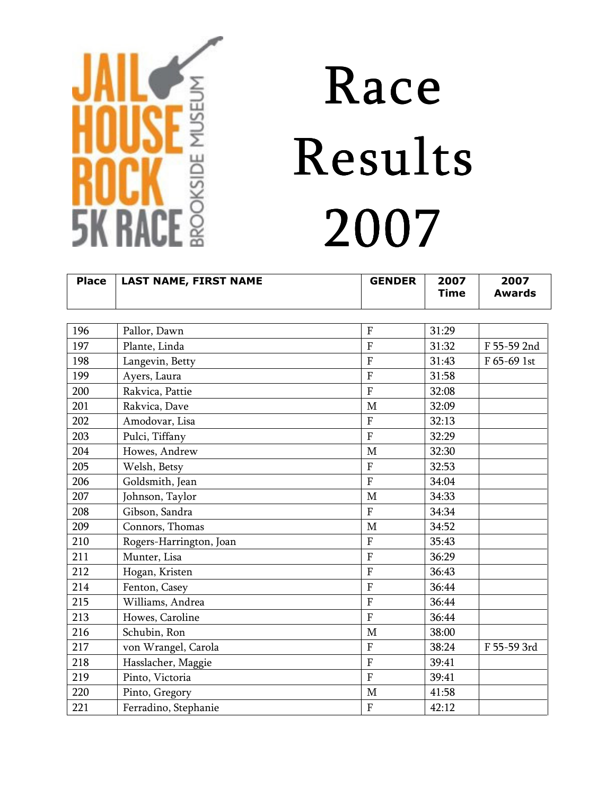

| <b>Place</b> | <b>LAST NAME, FIRST NAME</b> | <b>GENDER</b>  | 2007<br><b>Time</b> | 2007<br><b>Awards</b> |
|--------------|------------------------------|----------------|---------------------|-----------------------|
|              |                              |                |                     |                       |
| 196          | Pallor, Dawn                 | $\overline{F}$ | 31:29               |                       |
| 197          | Plante, Linda                | $\overline{F}$ | 31:32               | F 55-59 2nd           |
| 198          | Langevin, Betty              | F              | 31:43               | F 65-69 1st           |
| 199          | Ayers, Laura                 | $\overline{F}$ | 31:58               |                       |
| 200          | Rakvica, Pattie              | $\overline{F}$ | 32:08               |                       |
| 201          | Rakvica, Dave                | M              | 32:09               |                       |
| 202          | Amodovar, Lisa               | $\mathbf{F}$   | 32:13               |                       |
| 203          | Pulci, Tiffany               | $\overline{F}$ | 32:29               |                       |
| 204          | Howes, Andrew                | $\mathbf{M}$   | 32:30               |                       |
| 205          | Welsh, Betsy                 | $\overline{F}$ | 32:53               |                       |
| 206          | Goldsmith, Jean              | $\overline{F}$ | 34:04               |                       |
| 207          | Johnson, Taylor              | $\mathbf M$    | 34:33               |                       |
| 208          | Gibson, Sandra               | $\overline{F}$ | 34:34               |                       |
| 209          | Connors, Thomas              | M              | 34:52               |                       |
| 210          | Rogers-Harrington, Joan      | $\overline{F}$ | 35:43               |                       |
| 211          | Munter, Lisa                 | $\mathbf F$    | 36:29               |                       |
| 212          | Hogan, Kristen               | $\overline{F}$ | 36:43               |                       |
| 214          | Fenton, Casey                | F              | 36:44               |                       |
| 215          | Williams, Andrea             | $\overline{F}$ | 36:44               |                       |
| 213          | Howes, Caroline              | ${\bf F}$      | 36:44               |                       |
| 216          | Schubin, Ron                 | M              | 38:00               |                       |
| 217          | von Wrangel, Carola          | $\mathbf{F}$   | 38:24               | F 55-59 3rd           |
| 218          | Hasslacher, Maggie           | $\overline{F}$ | 39:41               |                       |
| 219          | Pinto, Victoria              | $\overline{F}$ | 39:41               |                       |
| 220          | Pinto, Gregory               | M              | 41:58               |                       |
| 221          | Ferradino, Stephanie         | $\mathbf F$    | 42:12               |                       |